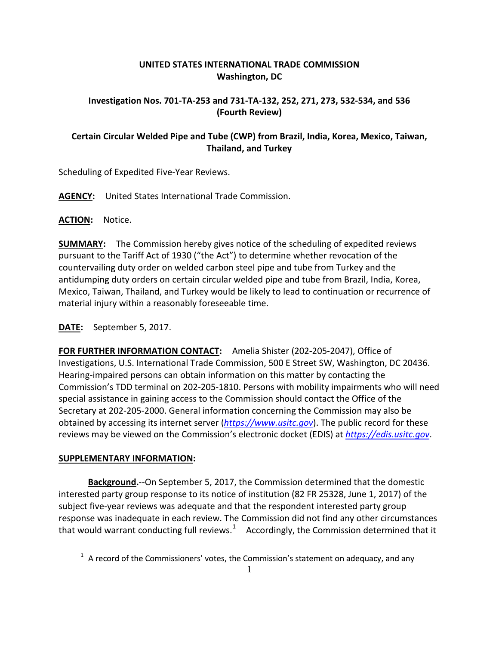## **UNITED STATES INTERNATIONAL TRADE COMMISSION Washington, DC**

#### **Investigation Nos. 701-TA-253 and 731-TA-132, 252, 271, 273, 532-534, and 536 (Fourth Review)**

# **Certain Circular Welded Pipe and Tube (CWP) from Brazil, India, Korea, Mexico, Taiwan, Thailand, and Turkey**

Scheduling of Expedited Five-Year Reviews.

**AGENCY:** United States International Trade Commission.

**ACTION:** Notice.

**SUMMARY:** The Commission hereby gives notice of the scheduling of expedited reviews pursuant to the Tariff Act of 1930 ("the Act") to determine whether revocation of the countervailing duty order on welded carbon steel pipe and tube from Turkey and the antidumping duty orders on certain circular welded pipe and tube from Brazil, India, Korea, Mexico, Taiwan, Thailand, and Turkey would be likely to lead to continuation or recurrence of material injury within a reasonably foreseeable time.

## **DATE:** September 5, 2017.

**FOR FURTHER INFORMATION CONTACT:** Amelia Shister (202-205-2047), Office of Investigations, U.S. International Trade Commission, 500 E Street SW, Washington, DC 20436. Hearing-impaired persons can obtain information on this matter by contacting the Commission's TDD terminal on 202-205-1810. Persons with mobility impairments who will need special assistance in gaining access to the Commission should contact the Office of the Secretary at 202-205-2000. General information concerning the Commission may also be obtained by accessing its internet server (*[https://www.usitc.gov](https://www.usitc.gov/)*). The public record for these reviews may be viewed on the Commission's electronic docket (EDIS) at *[https://edis.usitc.gov](https://edis.usitc.gov/)*.

## **SUPPLEMENTARY INFORMATION:**

<span id="page-0-0"></span> $\overline{a}$ 

**Background.**--On September 5, 2017, the Commission determined that the domestic interested party group response to its notice of institution (82 FR 25328, June 1, 2017) of the subject five-year reviews was adequate and that the respondent interested party group response was inadequate in each review. The Commission did not find any other circumstances that would warrant conducting full reviews.<sup>[1](#page-0-0)</sup> Accordingly, the Commission determined that it

 $<sup>1</sup>$  A record of the Commissioners' votes, the Commission's statement on adequacy, and any</sup>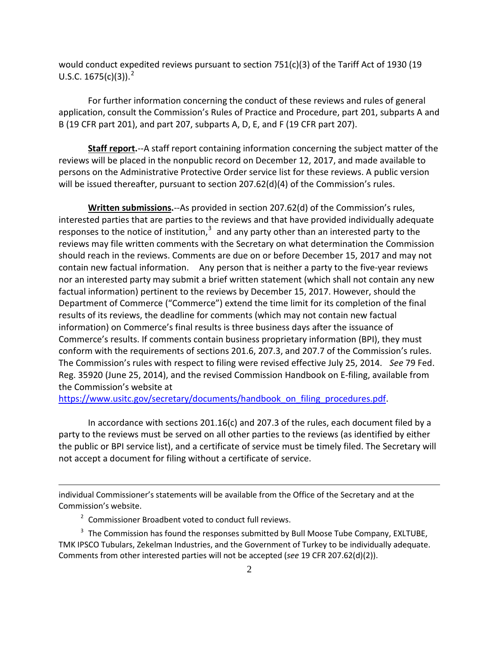would conduct expedited reviews pursuant to section  $751(c)(3)$  of the Tariff Act of 1930 (19 U.S.C.  $1675(c)(3)$ ).<sup>[2](#page-1-0)</sup>

For further information concerning the conduct of these reviews and rules of general application, consult the Commission's Rules of Practice and Procedure, part 201, subparts A and B (19 CFR part 201), and part 207, subparts A, D, E, and F (19 CFR part 207).

**Staff report.**--A staff report containing information concerning the subject matter of the reviews will be placed in the nonpublic record on December 12, 2017, and made available to persons on the Administrative Protective Order service list for these reviews. A public version will be issued thereafter, pursuant to section 207.62(d)(4) of the Commission's rules.

**Written submissions.**--As provided in section 207.62(d) of the Commission's rules, interested parties that are parties to the reviews and that have provided individually adequate responses to the notice of institution, $3$  and any party other than an interested party to the reviews may file written comments with the Secretary on what determination the Commission should reach in the reviews. Comments are due on or before December 15, 2017 and may not contain new factual information. Any person that is neither a party to the five-year reviews nor an interested party may submit a brief written statement (which shall not contain any new factual information) pertinent to the reviews by December 15, 2017. However, should the Department of Commerce ("Commerce") extend the time limit for its completion of the final results of its reviews, the deadline for comments (which may not contain new factual information) on Commerce's final results is three business days after the issuance of Commerce's results. If comments contain business proprietary information (BPI), they must conform with the requirements of sections 201.6, 207.3, and 207.7 of the Commission's rules. The Commission's rules with respect to filing were revised effective July 25, 2014. *See* 79 Fed. Reg. 35920 (June 25, 2014), and the revised Commission Handbook on E-filing, available from the Commission's website at

https://www.usitc.gov/secretary/documents/handbook on filing procedures.pdf.

In accordance with sections 201.16(c) and 207.3 of the rules, each document filed by a party to the reviews must be served on all other parties to the reviews (as identified by either the public or BPI service list), and a certificate of service must be timely filed. The Secretary will not accept a document for filing without a certificate of service.

individual Commissioner's statements will be available from the Office of the Secretary and at the Commission's website.

<sup>2</sup> Commissioner Broadbent voted to conduct full reviews.

 $\overline{a}$ 

<span id="page-1-1"></span><span id="page-1-0"></span> $3$  The Commission has found the responses submitted by Bull Moose Tube Company, EXLTUBE, TMK IPSCO Tubulars, Zekelman Industries, and the Government of Turkey to be individually adequate. Comments from other interested parties will not be accepted (*see* 19 CFR 207.62(d)(2)).